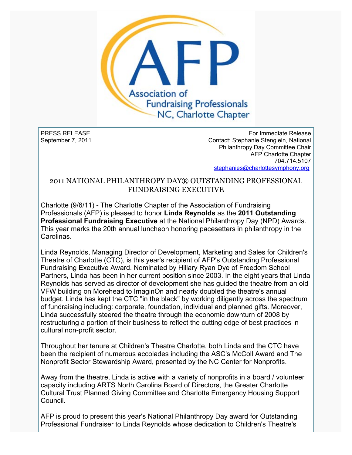

PRESS RELEASE September 7, 2011

For Immediate Release Contact: Stephanie Stenglein, National Philanthropy Day Committee Chair AFP Charlotte Chapter 704.714.5107 [stephanies@charlottesymphony.org](mailto:stephanies@charlottesymphony.org)

## 2011 NATIONAL PHILANTHROPY DAY® OUTSTANDING PROFESSIONAL FUNDRAISING EXECUTIVE

Charlotte (9/6/11) - The Charlotte Chapter of the Association of Fundraising Professionals (AFP) is pleased to honor **Linda Reynolds** as the **2011 Outstanding Professional Fundraising Executive** at the National Philanthropy Day (NPD) Awards. This year marks the 20th annual luncheon honoring pacesetters in philanthropy in the Carolinas.

Linda Reynolds, Managing Director of Development, Marketing and Sales for Children's Theatre of Charlotte (CTC), is this year's recipient of AFP's Outstanding Professional Fundraising Executive Award. Nominated by Hillary Ryan Dye of Freedom School Partners, Linda has been in her current position since 2003. In the eight years that Linda Reynolds has served as director of development she has guided the theatre from an old VFW building on Morehead to ImaginOn and nearly doubled the theatre's annual budget. Linda has kept the CTC "in the black" by working diligently across the spectrum of fundraising including: corporate, foundation, individual and planned gifts. Moreover, Linda successfully steered the theatre through the economic downturn of 2008 by restructuring a portion of their business to reflect the cutting edge of best practices in cultural non-profit sector.

Throughout her tenure at Children's Theatre Charlotte, both Linda and the CTC have been the recipient of numerous accolades including the ASC's McColl Award and The Nonprofit Sector Stewardship Award, presented by the NC Center for Nonprofits.

Away from the theatre, Linda is active with a variety of nonprofits in a board / volunteer capacity including ARTS North Carolina Board of Directors, the Greater Charlotte Cultural Trust Planned Giving Committee and Charlotte Emergency Housing Support Council.

AFP is proud to present this year's National Philanthropy Day award for Outstanding Professional Fundraiser to Linda Reynolds whose dedication to Children's Theatre's